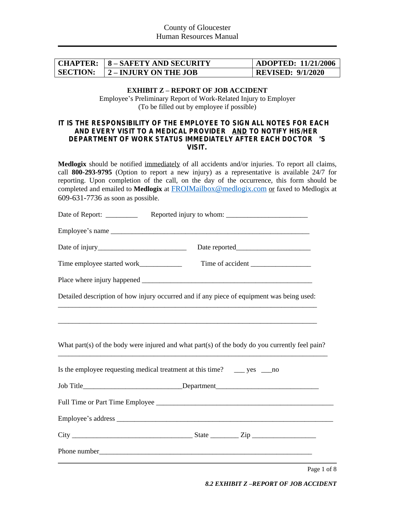|                 | <b>CHAPTER:   8 – SAFETY AND SECURITY</b> | $\mid$ ADOPTED: 11/21/2006 |
|-----------------|-------------------------------------------|----------------------------|
| <b>SECTION:</b> | 2 – INJURY ON THE JOB                     | <b>REVISED: 9/1/2020</b>   |

#### **EXHIBIT Z – REPORT OF JOB ACCIDENT** Employee's Preliminary Report of Work-Related Injury to Employer (To be filled out by employee if possible)

#### *IT IS THE RESPONSIBILITY OF THE EMPLOYEE TO SIGN ALL NOTES FOR EACH AND EVERY VISIT TO A MEDICAL PROVIDER AND TO NOTIFY HIS/HER DEPARTMENT OF WORK STATUS IMMEDIATELY AFTER EACH DOCTOR* '*S VISIT.*

**Medlogix** should be notified immediately of all accidents and/or injuries. To report all claims, call **800-293-9795** (Option to report a new injury) as a representative is available 24/7 for reporting. Upon completion of the call, on the day of the occurrence, this form should be completed and emailed to **Medlogix** at [FROIMailbox@medlogix.com](mailto:FROIMailbox@medlogix.com) or faxed to Medlogix at 609-631-7736 as soon as possible.

| Date of Report: _________ |                                                                                                |
|---------------------------|------------------------------------------------------------------------------------------------|
|                           |                                                                                                |
|                           |                                                                                                |
|                           |                                                                                                |
|                           |                                                                                                |
|                           | Detailed description of how injury occurred and if any piece of equipment was being used:      |
|                           |                                                                                                |
|                           | What part(s) of the body were injured and what part(s) of the body do you currently feel pain? |
|                           | Is the employee requesting medical treatment at this time? ______ yes _____ no                 |
|                           | Job Title_________________________________Department____________________________               |
|                           |                                                                                                |
|                           |                                                                                                |
|                           |                                                                                                |
|                           |                                                                                                |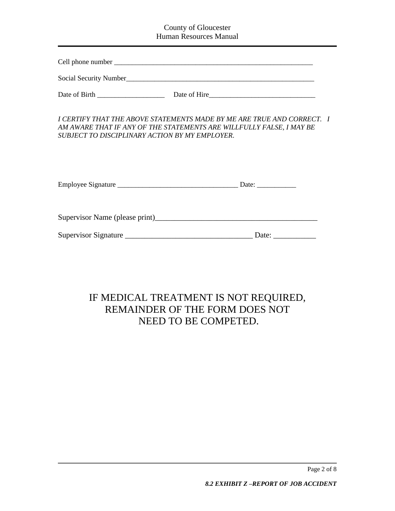### County of Gloucester Human Resources Manual

Social Security Number\_\_\_\_\_\_\_\_\_\_\_\_\_\_\_\_\_\_\_\_\_\_\_\_\_\_\_\_\_\_\_\_\_\_\_\_\_\_\_\_\_\_\_\_\_\_\_\_\_\_\_\_\_

*I CERTIFY THAT THE ABOVE STATEMENTS MADE BY ME ARE TRUE AND CORRECT. I AM AWARE THAT IF ANY OF THE STATEMENTS ARE WILLFULLY FALSE, I MAY BE SUBJECT TO DISCIPLINARY ACTION BY MY EMPLOYER*.

| <b>Employee Signature</b> |  |  |
|---------------------------|--|--|
|---------------------------|--|--|

Supervisor Name (please print)

| Supervisor Signature | ⊃ate∙ |
|----------------------|-------|
|                      |       |

# IF MEDICAL TREATMENT IS NOT REQUIRED, REMAINDER OF THE FORM DOES NOT NEED TO BE COMPETED.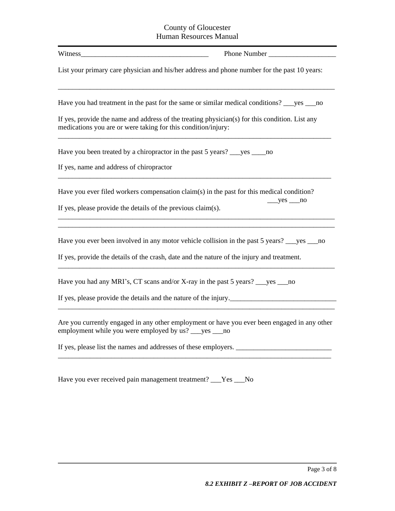#### County of Gloucester Human Resources Manual

| Witness                                                                                                                                                                                    |  |  |
|--------------------------------------------------------------------------------------------------------------------------------------------------------------------------------------------|--|--|
| List your primary care physician and his/her address and phone number for the past 10 years:                                                                                               |  |  |
| Have you had treatment in the past for the same or similar medical conditions? see sum                                                                                                     |  |  |
| If yes, provide the name and address of the treating physician(s) for this condition. List any<br>medications you are or were taking for this condition/injury:                            |  |  |
| Have you been treated by a chiropractor in the past 5 years? _____ yes ______ no                                                                                                           |  |  |
| If yes, name and address of chiropractor                                                                                                                                                   |  |  |
| Have you ever filed workers compensation claim(s) in the past for this medical condition?<br>$yes$ no<br>If yes, please provide the details of the previous claim(s).                      |  |  |
|                                                                                                                                                                                            |  |  |
| Have you ever been involved in any motor vehicle collision in the past 5 years? ___yes ___no<br>If yes, provide the details of the crash, date and the nature of the injury and treatment. |  |  |
|                                                                                                                                                                                            |  |  |
| Have you had any MRI's, CT scans and/or X-ray in the past 5 years? _____ yes _____ no                                                                                                      |  |  |
| If yes, please provide the details and the nature of the injury.                                                                                                                           |  |  |
| Are you currently engaged in any other employment or have you ever been engaged in any other<br>employment while you were employed by us? ___ yes ___ no                                   |  |  |
| If yes, please list the names and addresses of these employers.                                                                                                                            |  |  |
| Have you ever received pain management treatment? ___Yes ___No                                                                                                                             |  |  |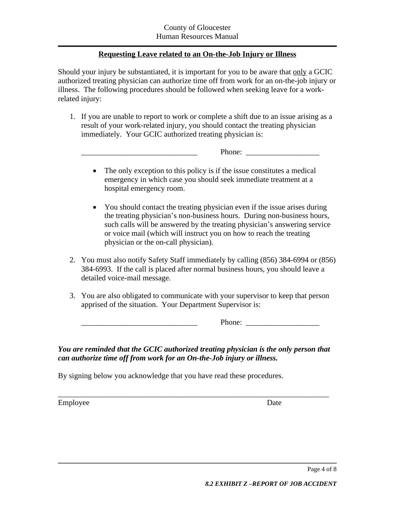## **Requesting Leave related to an On-the-Job Injury or Illness**

Should your injury be substantiated, it is important for you to be aware that only a GCIC authorized treating physician can authorize time off from work for an on-the-job injury or illness. The following procedures should be followed when seeking leave for a workrelated injury:

1. If you are unable to report to work or complete a shift due to an issue arising as a result of your work-related injury, you should contact the treating physician immediately. Your GCIC authorized treating physician is:

\_\_\_\_\_\_\_\_\_\_\_\_\_\_\_\_\_\_\_\_\_\_\_\_\_\_\_\_\_\_ Phone: \_\_\_\_\_\_\_\_\_\_\_\_\_\_\_\_\_\_\_

- The only exception to this policy is if the issue constitutes a medical emergency in which case you should seek immediate treatment at a hospital emergency room.
- You should contact the treating physician even if the issue arises during the treating physician's non-business hours. During non-business hours, such calls will be answered by the treating physician's answering service or voice mail (which will instruct you on how to reach the treating physician or the on-call physician).
- 2. You must also notify Safety Staff immediately by calling (856) 384-6994 or (856) 384-6993. If the call is placed after normal business hours, you should leave a detailed voice-mail message.
- 3. You are also obligated to communicate with your supervisor to keep that person apprised of the situation. Your Department Supervisor is:

\_\_\_\_\_\_\_\_\_\_\_\_\_\_\_\_\_\_\_\_\_\_\_\_\_\_\_\_\_\_ Phone: \_\_\_\_\_\_\_\_\_\_\_\_\_\_\_\_\_\_\_

*You are reminded that the GCIC authorized treating physician is the only person that can authorize time off from work for an On-the-Job injury or illness.*

By signing below you acknowledge that you have read these procedures.

\_\_\_\_\_\_\_\_\_\_\_\_\_\_\_\_\_\_\_\_\_\_\_\_\_\_\_\_\_\_\_\_\_\_\_\_\_\_\_\_\_\_\_\_\_\_\_\_\_\_\_\_\_\_\_\_\_\_\_\_\_\_\_\_\_\_\_\_\_\_ Employee Date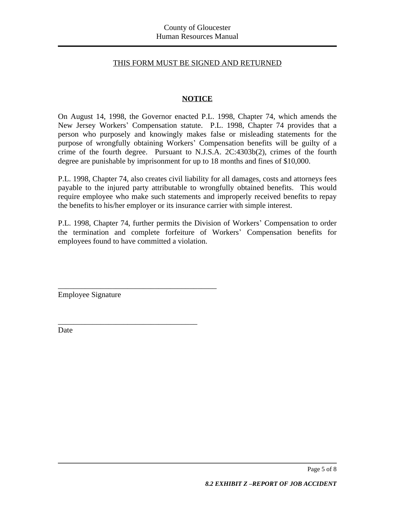#### THIS FORM MUST BE SIGNED AND RETURNED

### **NOTICE**

On August 14, 1998, the Governor enacted P.L. 1998, Chapter 74, which amends the New Jersey Workers' Compensation statute. P.L. 1998, Chapter 74 provides that a person who purposely and knowingly makes false or misleading statements for the purpose of wrongfully obtaining Workers' Compensation benefits will be guilty of a crime of the fourth degree. Pursuant to N.J.S.A. 2C:4303b(2), crimes of the fourth degree are punishable by imprisonment for up to 18 months and fines of \$10,000.

P.L. 1998, Chapter 74, also creates civil liability for all damages, costs and attorneys fees payable to the injured party attributable to wrongfully obtained benefits. This would require employee who make such statements and improperly received benefits to repay the benefits to his/her employer or its insurance carrier with simple interest.

P.L. 1998, Chapter 74, further permits the Division of Workers' Compensation to order the termination and complete forfeiture of Workers' Compensation benefits for employees found to have committed a violation.

Employee Signature

\_\_\_\_\_\_\_\_\_\_\_\_\_\_\_\_\_\_\_\_\_\_\_\_\_\_\_\_\_\_\_\_\_\_\_\_\_\_\_\_\_

\_\_\_\_\_\_\_\_\_\_\_\_\_\_\_\_\_\_\_\_\_\_\_\_\_\_\_\_\_\_\_\_\_\_\_\_

Date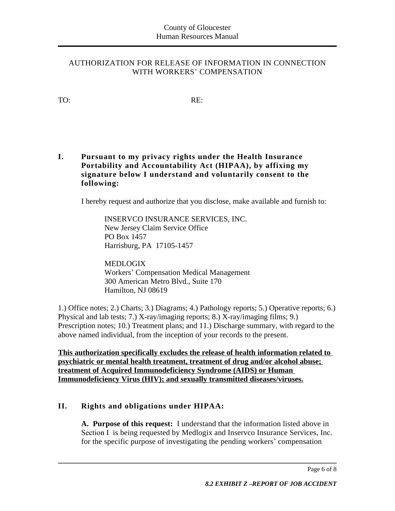### AUTHORIZATION FOR RELEASE OF INFORMATION IN CONNECTION WITH WORKERS' COMPENSATION

TO: RE:

**I. Pursuant to my privacy rights under the Health Insurance Portability and Accountability Act (HIPAA), by affixing my signature below I understand and voluntarily consent to the following:**

I hereby request and authorize that you disclose, make available and furnish to:

INSERVCO INSURANCE SERVICES, INC. New Jersey Claim Service Office PO Box 1457 Harrisburg, PA 17105-1457

MEDLOGIX Workers' Compensation Medical Management 300 American Metro Blvd., Suite 170 Hamilton, NJ 08619

1.) Office notes; 2.) Charts; 3.) Diagrams; 4.) Pathology reports; 5.) Operative reports; 6.) Physical and lab tests; 7.) X-ray/imaging reports; 8.) X-ray/imaging films; 9.) Prescription notes; 10.) Treatment plans; and 11.) Discharge summary, with regard to the above named individual, from the inception of your records to the present.

**This authorization specifically excludes the release of health information related to psychiatric or mental health treatment, treatment of drug and/or alcohol abuse; treatment of Acquired Immunodeficiency Syndrome (AIDS) or Human Immunodeficiency Virus (HIV); and sexually transmitted diseases/viruses.**

## **II. Rights and obligations under HIPAA:**

**A. Purpose of this request:** I understand that the information listed above in Section I is being requested by Medlogix and Inservco Insurance Services, Inc. for the specific purpose of investigating the pending workers' compensation

Page 6 of 8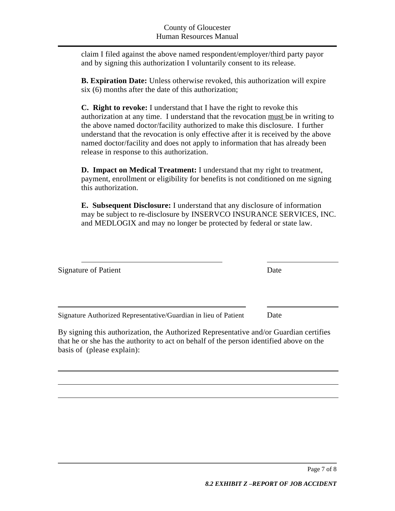claim I filed against the above named respondent/employer/third party payor and by signing this authorization I voluntarily consent to its release.

**B. Expiration Date:** Unless otherwise revoked, this authorization will expire six (6) months after the date of this authorization;

**C. Right to revoke:** I understand that I have the right to revoke this authorization at any time. I understand that the revocation must be in writing to the above named doctor/facility authorized to make this disclosure. I further understand that the revocation is only effective after it is received by the above named doctor/facility and does not apply to information that has already been release in response to this authorization.

**D. Impact on Medical Treatment:** I understand that my right to treatment, payment, enrollment or eligibility for benefits is not conditioned on me signing this authorization.

**E. Subsequent Disclosure:** I understand that any disclosure of information may be subject to re-disclosure by INSERVCO INSURANCE SERVICES, INC. and MEDLOGIX and may no longer be protected by federal or state law.

| <b>Signature of Patient</b>                                                                                                                                                                                     | Date |
|-----------------------------------------------------------------------------------------------------------------------------------------------------------------------------------------------------------------|------|
| Signature Authorized Representative/Guardian in lieu of Patient                                                                                                                                                 | Date |
| By signing this authorization, the Authorized Representative and/or Guardian certifies<br>that he or she has the authority to act on behalf of the person identified above on the<br>basis of (please explain): |      |

 $\overline{a}$ 

 $\overline{a}$ 

 $\overline{a}$